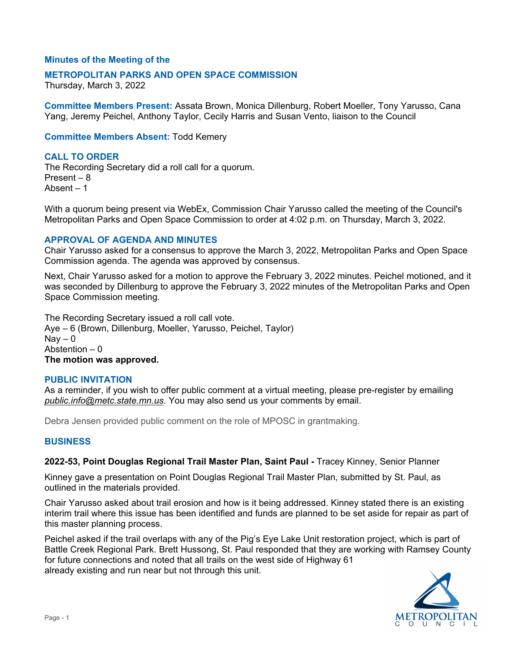## **Minutes of the Meeting of the**

### **METROPOLITAN PARKS AND OPEN SPACE COMMISSION**

Thursday, March 3, 2022

**Committee Members Present:** Assata Brown, Monica Dillenburg, Robert Moeller, Tony Yarusso, Cana Yang, Jeremy Peichel, Anthony Taylor, Cecily Harris and Susan Vento, liaison to the Council

**Committee Members Absent:** Todd Kemery

# **CALL TO ORDER**

The Recording Secretary did a roll call for a quorum. Present – 8 Absent – 1

With a quorum being present via WebEx, Commission Chair Yarusso called the meeting of the Council's Metropolitan Parks and Open Space Commission to order at 4:02 p.m. on Thursday, March 3, 2022.

## **APPROVAL OF AGENDA AND MINUTES**

Chair Yarusso asked for a consensus to approve the March 3, 2022, Metropolitan Parks and Open Space Commission agenda. The agenda was approved by consensus.

Next, Chair Yarusso asked for a motion to approve the February 3, 2022 minutes. Peichel motioned, and it was seconded by Dillenburg to approve the February 3, 2022 minutes of the Metropolitan Parks and Open Space Commission meeting.

The Recording Secretary issued a roll call vote. Aye – 6 (Brown, Dillenburg, Moeller, Yarusso, Peichel, Taylor)  $\text{Nav} - 0$ Abstention – 0 **The motion was approved.**

### **PUBLIC INVITATION**

As a reminder, if you wish to offer public comment at a virtual meeting, please pre-register by emailing *[public.info@metc.state.mn.us](mailto:public.info@metc.state.mn.us)*. You may also send us your comments by email.

Debra Jensen provided public comment on the role of MPOSC in grantmaking.

## **BUSINESS**

**2022-53, Point Douglas Regional Trail Master Plan, Saint Paul -** Tracey Kinney, Senior Planner

Kinney gave a presentation on Point Douglas Regional Trail Master Plan, submitted by St. Paul, as outlined in the materials provided.

Chair Yarusso asked about trail erosion and how is it being addressed. Kinney stated there is an existing interim trail where this issue has been identified and funds are planned to be set aside for repair as part of this master planning process.

Peichel asked if the trail overlaps with any of the Pig's Eye Lake Unit restoration project, which is part of Battle Creek Regional Park. Brett Hussong, St. Paul responded that they are working with Ramsey County for future connections and noted that all trails on the west side of Highway 61 already existing and run near but not through this unit.

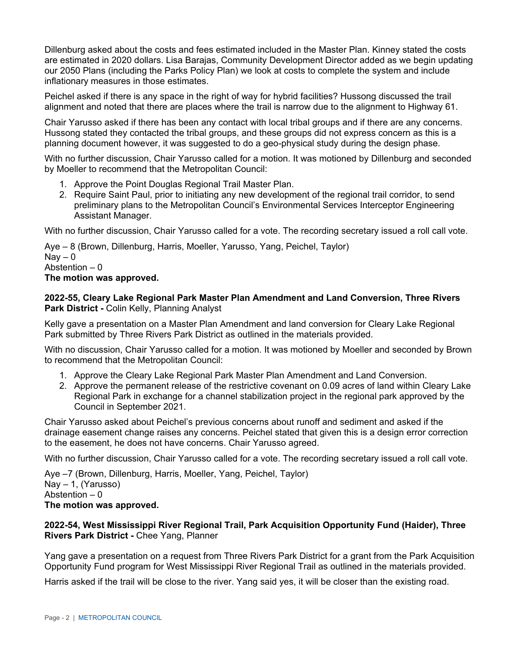Dillenburg asked about the costs and fees estimated included in the Master Plan. Kinney stated the costs are estimated in 2020 dollars. Lisa Barajas, Community Development Director added as we begin updating our 2050 Plans (including the Parks Policy Plan) we look at costs to complete the system and include inflationary measures in those estimates.

Peichel asked if there is any space in the right of way for hybrid facilities? Hussong discussed the trail alignment and noted that there are places where the trail is narrow due to the alignment to Highway 61.

Chair Yarusso asked if there has been any contact with local tribal groups and if there are any concerns. Hussong stated they contacted the tribal groups, and these groups did not express concern as this is a planning document however, it was suggested to do a geo-physical study during the design phase.

With no further discussion, Chair Yarusso called for a motion. It was motioned by Dillenburg and seconded by Moeller to recommend that the Metropolitan Council:

- 1. Approve the Point Douglas Regional Trail Master Plan.
- 2. Require Saint Paul, prior to initiating any new development of the regional trail corridor, to send preliminary plans to the Metropolitan Council's Environmental Services Interceptor Engineering Assistant Manager.

With no further discussion, Chair Yarusso called for a vote. The recording secretary issued a roll call vote.

Aye – 8 (Brown, Dillenburg, Harris, Moeller, Yarusso, Yang, Peichel, Taylor)  $\text{Nav} - 0$ Abstention  $-0$ **The motion was approved.**

**2022-55, Cleary Lake Regional Park Master Plan Amendment and Land Conversion, Three Rivers Park District -** Colin Kelly, Planning Analyst

Kelly gave a presentation on a Master Plan Amendment and land conversion for Cleary Lake Regional Park submitted by Three Rivers Park District as outlined in the materials provided.

With no discussion, Chair Yarusso called for a motion. It was motioned by Moeller and seconded by Brown to recommend that the Metropolitan Council:

- 1. Approve the Cleary Lake Regional Park Master Plan Amendment and Land Conversion.
- 2. Approve the permanent release of the restrictive covenant on 0.09 acres of land within Cleary Lake Regional Park in exchange for a channel stabilization project in the regional park approved by the Council in September 2021.

Chair Yarusso asked about Peichel's previous concerns about runoff and sediment and asked if the drainage easement change raises any concerns. Peichel stated that given this is a design error correction to the easement, he does not have concerns. Chair Yarusso agreed.

With no further discussion, Chair Yarusso called for a vote. The recording secretary issued a roll call vote.

Aye –7 (Brown, Dillenburg, Harris, Moeller, Yang, Peichel, Taylor) Nay – 1, (Yarusso) Abstention  $-0$ **The motion was approved.**

## **2022-54, West Mississippi River Regional Trail, Park Acquisition Opportunity Fund (Haider), Three Rivers Park District -** Chee Yang, Planner

Yang gave a presentation on a request from Three Rivers Park District for a grant from the Park Acquisition Opportunity Fund program for West Mississippi River Regional Trail as outlined in the materials provided.

Harris asked if the trail will be close to the river. Yang said yes, it will be closer than the existing road.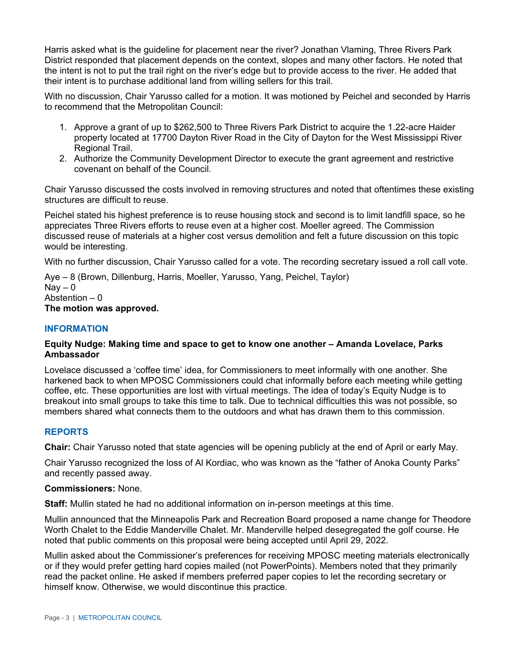Harris asked what is the guideline for placement near the river? Jonathan Vlaming, Three Rivers Park District responded that placement depends on the context, slopes and many other factors. He noted that the intent is not to put the trail right on the river's edge but to provide access to the river. He added that their intent is to purchase additional land from willing sellers for this trail.

With no discussion, Chair Yarusso called for a motion. It was motioned by Peichel and seconded by Harris to recommend that the Metropolitan Council:

- 1. Approve a grant of up to \$262,500 to Three Rivers Park District to acquire the 1.22-acre Haider property located at 17700 Dayton River Road in the City of Dayton for the West Mississippi River Regional Trail.
- 2. Authorize the Community Development Director to execute the grant agreement and restrictive covenant on behalf of the Council.

Chair Yarusso discussed the costs involved in removing structures and noted that oftentimes these existing structures are difficult to reuse.

Peichel stated his highest preference is to reuse housing stock and second is to limit landfill space, so he appreciates Three Rivers efforts to reuse even at a higher cost. Moeller agreed. The Commission discussed reuse of materials at a higher cost versus demolition and felt a future discussion on this topic would be interesting.

With no further discussion, Chair Yarusso called for a vote. The recording secretary issued a roll call vote.

Aye – 8 (Brown, Dillenburg, Harris, Moeller, Yarusso, Yang, Peichel, Taylor)  $\text{Nav} - 0$ Abstention – 0 **The motion was approved.**

## **INFORMATION**

## **Equity Nudge: Making time and space to get to know one another – Amanda Lovelace, Parks Ambassador**

Lovelace discussed a 'coffee time' idea, for Commissioners to meet informally with one another. She harkened back to when MPOSC Commissioners could chat informally before each meeting while getting coffee, etc. These opportunities are lost with virtual meetings. The idea of today's Equity Nudge is to breakout into small groups to take this time to talk. Due to technical difficulties this was not possible, so members shared what connects them to the outdoors and what has drawn them to this commission.

## **REPORTS**

**Chair:** Chair Yarusso noted that state agencies will be opening publicly at the end of April or early May.

Chair Yarusso recognized the loss of Al Kordiac, who was known as the "father of Anoka County Parks" and recently passed away.

### **Commissioners:** None.

**Staff:** Mullin stated he had no additional information on in-person meetings at this time.

Mullin announced that the Minneapolis Park and Recreation Board proposed a name change for Theodore Worth Chalet to the Eddie Manderville Chalet. Mr. Manderville helped desegregated the golf course. He noted that public comments on this proposal were being accepted until April 29, 2022.

Mullin asked about the Commissioner's preferences for receiving MPOSC meeting materials electronically or if they would prefer getting hard copies mailed (not PowerPoints). Members noted that they primarily read the packet online. He asked if members preferred paper copies to let the recording secretary or himself know. Otherwise, we would discontinue this practice.